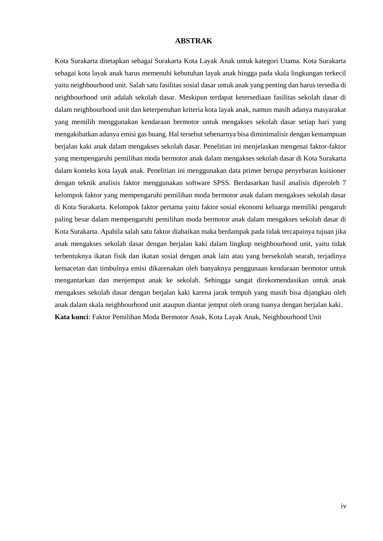## **ABSTRAK**

Kota Surakarta ditetapkan sebagai Surakarta Kota Layak Anak untuk kategori Utama. Kota Surakarta sebagai kota layak anak harus memenuhi kebutuhan layak anak hingga pada skala lingkungan terkecil yaitu neighbourhood unit. Salah satu fasilitas sosial dasar untuk anak yang penting dan harus tersedia di neighbourhood unit adalah sekolah dasar. Meskipun terdapat ketersediaan fasilitas sekolah dasar di dalam neighbourhood unit dan keterpenuhan kriteria kota layak anak, namun masih adanya masyarakat yang memilih menggunakan kendaraan bermotor untuk mengakses sekolah dasar setiap hari yang mengakibatkan adanya emisi gas buang. Hal tersebut sebenarnya bisa diminimalisir dengan kemampuan berjalan kaki anak dalam mengakses sekolah dasar. Penelitian ini menjelaskan mengenai faktor-faktor yang mempengaruhi pemilihan moda bermotor anak dalam mengakses sekolah dasar di Kota Surakarta dalam konteks kota layak anak. Penelitian ini menggunakan data primer berupa penyebaran kuisioner dengan teknik analisis faktor menggunakan software SPSS. Berdasarkan hasil analisis diperoleh 7 kelompok faktor yang mempengaruhi pemilihan moda bermotor anak dalam mengakses sekolah dasar di Kota Surakarta. Kelompok faktor pertama yaitu faktor sosial ekonomi keluarga memiliki pengaruh paling besar dalam mempengaruhi pemilihan moda bermotor anak dalam mengakses sekolah dasar di Kota Surakarta. Apabila salah satu faktor diabaikan maka berdampak pada tidak tercapainya tujuan jika anak mengakses sekolah dasar dengan berjalan kaki dalam lingkup neighbourhood unit, yaitu tidak terbentuknya ikatan fisik dan ikatan sosial dengan anak lain atau yang bersekolah searah, terjadinya kemacetan dan timbulnya emisi dikarenakan oleh banyaknya penggunaan kendaraan bermotor untuk mengantarkan dan menjemput anak ke sekolah. Sehingga sangat direkomendasikan untuk anak mengakses sekolah dasar dengan berjalan kaki karena jarak tempuh yang masih bisa dijangkau oleh anak dalam skala neighbourhood unit ataupun diantar jemput oleh orang tuanya dengan berjalan kaki. **Kata kunci**: Faktor Pemilihan Moda Bermotor Anak, Kota Layak Anak, Neighbourhood Unit